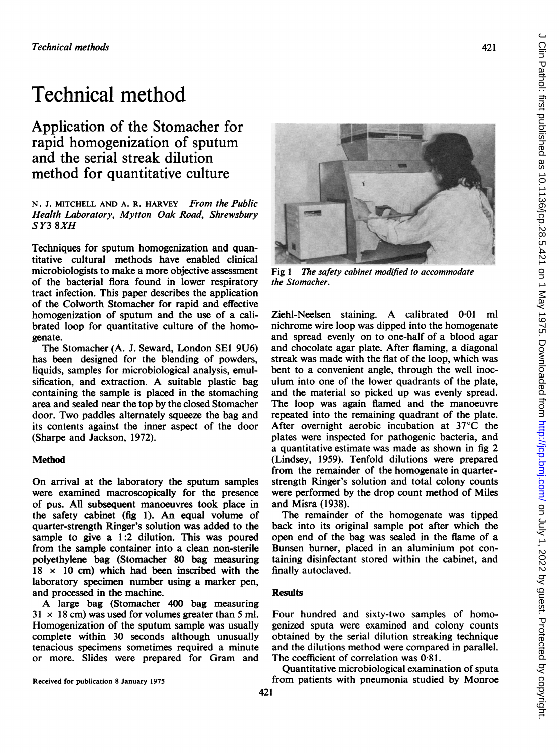# Technical method

Application of the Stomacher for rapid homogenization of sputum and the serial streak dilution method for quantitative culture

N. J. MITCHELL AND A. R. HARVEY From the Public Health Laboratory, Mytton Oak Road, Shrewsbury SY3 8XH

Techniques for sputum homogenization and quantitative cultural methods have enabled clinical microbiologists to make a more objective assessment of the bacterial flora found in lower respiratory tract infection. This paper describes the application of the Colworth Stomacher for rapid and effective homogenization of sputum and the use of a calibrated loop for quantitative culture of the homogenate.

The Stomacher (A. J. Seward, London SEI 9U6) has been designed for the blending of powders, liquids, samples for microbiological analysis, emulsification, and extraction. A suitable plastic bag containing the sample is placed in the stomaching area and sealed near the top by the closed Stomacher door. Two paddles alternately squeeze the bag and its contents against the inner aspect of the door (Sharpe and Jackson, 1972).

# Method

On arrival at the laboratory the sputum samples were examined macroscopically for the presence of pus. All subsequent manoeuvres took place in the safety cabinet (fig 1). An equal volume of quarter-strength Ringer's solution was added to the sample to give a 1:2 dilution. This was poured from the sample container into a clean non-sterile polyethylene bag (Stomacher 80 bag measuring  $18 \times 10$  cm) which had been inscribed with the laboratory specimen number using a marker pen, and processed in the machine.

A large bag (Stomacher <sup>400</sup> bag measuring  $31 \times 18$  cm) was used for volumes greater than 5 ml. Homogenization of the sputum sample was usually complete within 30 seconds although unusually tenacious specimens sometimes required a minute or more. Slides were prepared for Gram and



Fig <sup>1</sup> The safety cabinet modified to accommodate the Stomacher.

Ziehl-Neelsen staining. A calibrated 0-01 ml nichrome wire loop was dipped into the homogenate and spread evenly on to one-half of a blood agar and chocolate agar plate. After flaming, a diagonal streak was made with the flat of the loop, which was bent to a convenient angle, through the well inoculum into one of the lower quadrants of the plate, and the material so picked up was evenly spread. The loop was again flamed and the manoeuvre repeated into the remaining quadrant of the plate. After overnight aerobic incubation at 37°C the plates were inspected for pathogenic bacteria, and a quantitative estimate was made as shown in fig 2 (Lindsey, 1959). Tenfold dilutions were prepared from the remainder of the homogenate in quarterstrengtb Ringer's solution and total colony counts were performed by the drop count method of Miles and Misra (1938).

The remainder of the homogenate was tipped back into its original sample pot after which the open end of the bag was sealed in the flame of a Bunsen burner, placed in an aluminium pot containing disinfectant stored within the cabinet, and finally autoclaved.

### **Results**

Four hundred and sixty-two samples of homogenized sputa were examined and colony counts obtained by the serial dilution streaking technique and the dilutions method were compared in parallel. The coefficient of correlation was 0-81.

Quantitative microbiological examination of sputa from patients with pneumonia studied by Monroe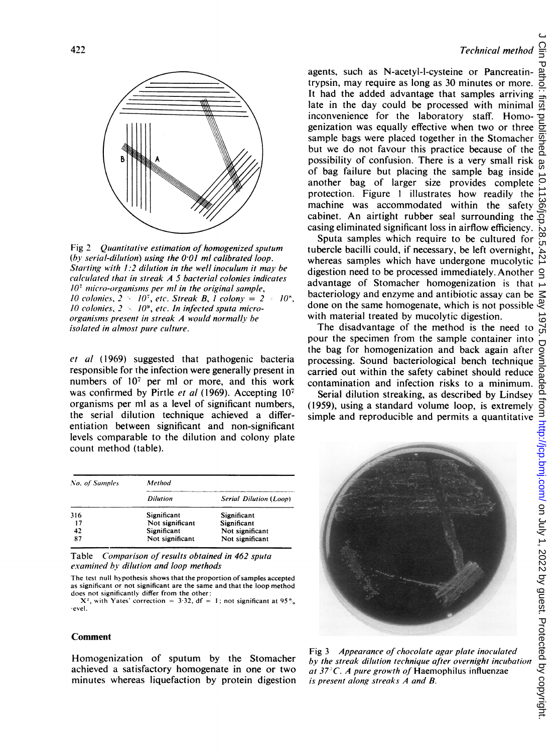

Fig 2 Quantitative estimation of homogenized sputum (by serial-dilution) using the  $0.01$  ml calibrated loop. Starting with  $1:2$  dilution in the well inoculum it may be calcuilated that in streak A 5 bacterial colonies indicates  $10<sup>7</sup>$  micro-organisms per ml in the original sample, 10 colonies,  $2 \times 10^7$ , etc. Streak B, 1 colony =  $2 \times 10^8$ , 10 colonies,  $2 \times 10^9$ , etc. In infected sputa microorganisms present in streak A would normally be isolated in almost pure culture.

et al (1969) suggested that pathogenic bacteria responsible for the infection were generally present in numbers of 107 per ml or more, and this work was confirmed by Pirtle et al (1969). Accepting 107 organisms per ml as a level of significant numbers, the serial dilution technique achieved a differentiation between significant and non-significant levels comparable to the dilution and colony plate count method (table).

| No. of Samples | Method          |                               |  |
|----------------|-----------------|-------------------------------|--|
|                | <b>Dilution</b> | <b>Serial Dilution (Loop)</b> |  |
| 316            | Significant     | Significant                   |  |
| 17             | Not significant | Significant                   |  |
| 42             | Significant     | Not significant               |  |
| 87             | Not significant | Not significant               |  |

Table Comparison of results obtained in 462 sputa examined by dilution and loop methods

The test null hypothesis shows that the proportion of samples accepted as significant or not significant are the same and that the loop method does not significantly differ from the other:

 $X^2$ , with Yates' correction = 3.32, df = 1; not significant at 95% evel.

#### Comment

Homogenization of sputum by the Stomacher achieved a satisfactory homogenate in one or two minutes whereas liquefaction by protein digestion

Technical method

agents, such as N-acetyl-l-cysteine or Pancreatintrypsin, may require as long as 30 minutes or more. It had the added advantage that samples arriving late in the day could be processed with minimal inconvenience for the laboratory staff. Homogenization was equally effective when two or three sample bags were placed together in the Stomacher but we do not favour this practice because of the possibility of confusion. There is a very small risk of bag failure but placing the sample bag inside another bag of larger size provides complete protection. Figure <sup>1</sup> illustrates how readily the machine was accommodated within the safety cabinet. An airtight rubber seal surrounding the casing eliminated significant loss in airflow efficiency.

Sputa samples which require to be cultured for tubercle bacilli could, if necessary, be left overnight, whereas samoles which have undergone mucolytic digestion need to be processed immediately. Another advantage of Stomacher homogenization is that bacteriology and enzyme and antibiotic assay can be done on the same homogenate, which is not possible with material treated by mucolytic digestion.

The disadvantage of the method is the need to the bag for homogenization and back again after processing. Sound bacteriological bench technique carried out within the safety cabinet should reduce contamination and infection risks to a minimum.

Serial dilution streaking, as described by Lindsey (1959), using a standard volume loop, is extremely simple and reproducible and permits a quantitative



Fig 3 Appearance of chocolate agar plate inoculated  $by$  the streak dilution technique after overnight incubation at  $37^{\circ}$ C. A pure growth of Haemophilus influenzae is present along streaks A and B.